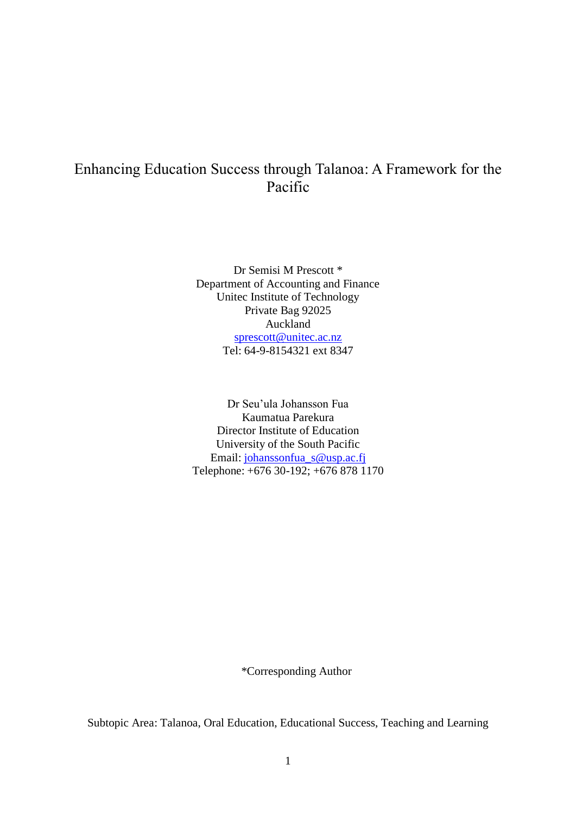# Enhancing Education Success through Talanoa: A Framework for the Pacific

Dr Semisi M Prescott \* Department of Accounting and Finance Unitec Institute of Technology Private Bag 92025 Auckland [sprescott@unitec.ac.nz](mailto:sprescott@unitec.ac.nz) Tel: 64-9-8154321 ext 8347

Dr Seu'ula Johansson Fua Kaumatua Parekura Director Institute of Education University of the South Pacific Email: [johanssonfua\\_s@usp.ac.fj](mailto:johanssonfua_s@usp.ac.fj) Telephone: +676 30-192; +676 878 1170

\*Corresponding Author

Subtopic Area: Talanoa, Oral Education, Educational Success, Teaching and Learning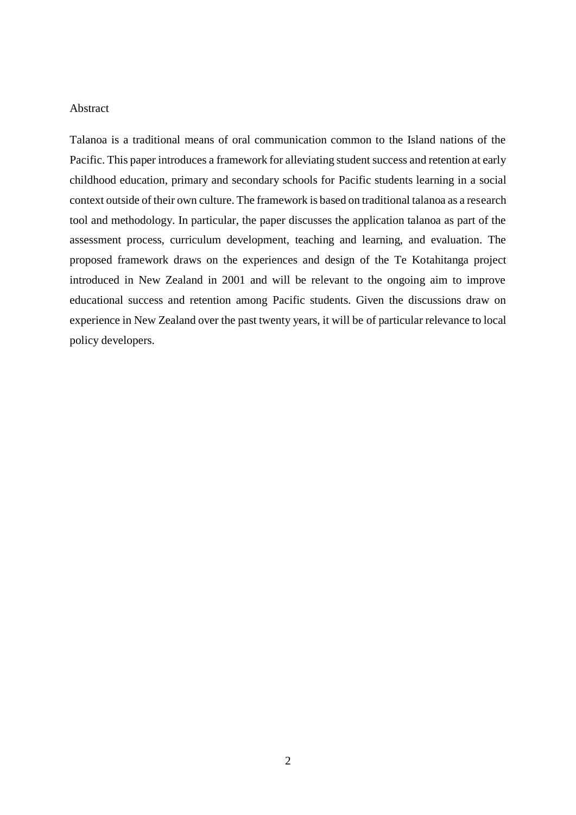## Abstract

Talanoa is a traditional means of oral communication common to the Island nations of the Pacific. This paper introduces a framework for alleviating student success and retention at early childhood education, primary and secondary schools for Pacific students learning in a social context outside of their own culture. The framework is based on traditional talanoa as a research tool and methodology. In particular, the paper discusses the application talanoa as part of the assessment process, curriculum development, teaching and learning, and evaluation. The proposed framework draws on the experiences and design of the Te Kotahitanga project introduced in New Zealand in 2001 and will be relevant to the ongoing aim to improve educational success and retention among Pacific students. Given the discussions draw on experience in New Zealand over the past twenty years, it will be of particular relevance to local policy developers.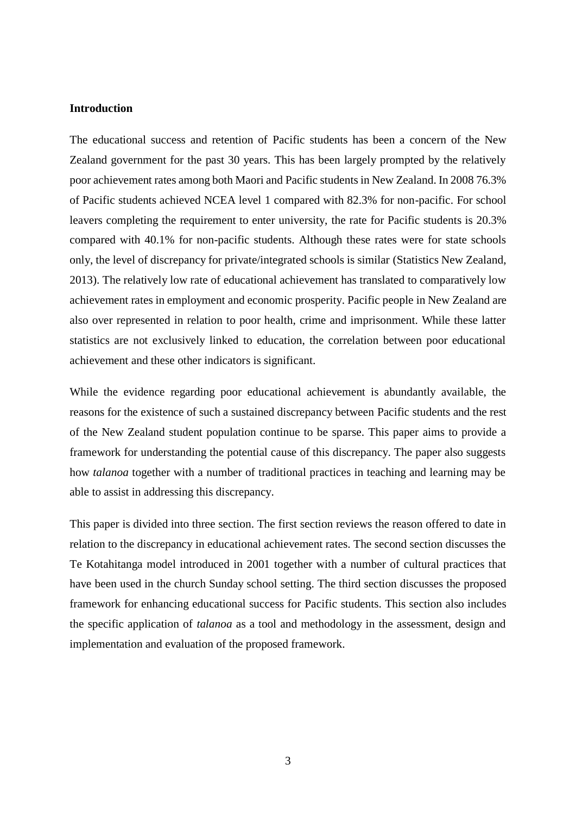### **Introduction**

The educational success and retention of Pacific students has been a concern of the New Zealand government for the past 30 years. This has been largely prompted by the relatively poor achievement rates among both Maori and Pacific students in New Zealand. In 2008 76.3% of Pacific students achieved NCEA level 1 compared with 82.3% for non-pacific. For school leavers completing the requirement to enter university, the rate for Pacific students is 20.3% compared with 40.1% for non-pacific students. Although these rates were for state schools only, the level of discrepancy for private/integrated schools is similar [\(Statistics New Zealand,](#page-17-0)  [2013\)](#page-17-0). The relatively low rate of educational achievement has translated to comparatively low achievement rates in employment and economic prosperity. Pacific people in New Zealand are also over represented in relation to poor health, crime and imprisonment. While these latter statistics are not exclusively linked to education, the correlation between poor educational achievement and these other indicators is significant.

While the evidence regarding poor educational achievement is abundantly available, the reasons for the existence of such a sustained discrepancy between Pacific students and the rest of the New Zealand student population continue to be sparse. This paper aims to provide a framework for understanding the potential cause of this discrepancy. The paper also suggests how *talanoa* together with a number of traditional practices in teaching and learning may be able to assist in addressing this discrepancy.

This paper is divided into three section. The first section reviews the reason offered to date in relation to the discrepancy in educational achievement rates. The second section discusses the Te Kotahitanga model introduced in 2001 together with a number of cultural practices that have been used in the church Sunday school setting. The third section discusses the proposed framework for enhancing educational success for Pacific students. This section also includes the specific application of *talanoa* as a tool and methodology in the assessment, design and implementation and evaluation of the proposed framework.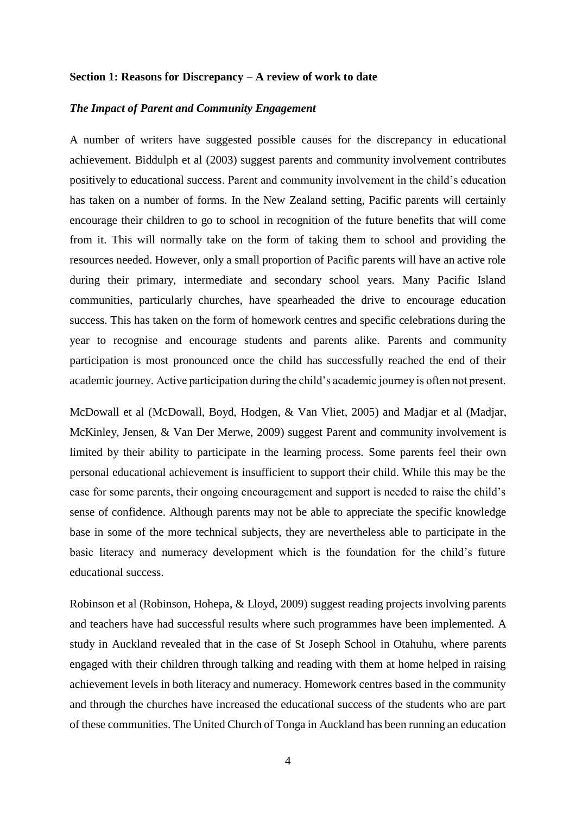#### **Section 1: Reasons for Discrepancy – A review of work to date**

#### *The Impact of Parent and Community Engagement*

A number of writers have suggested possible causes for the discrepancy in educational achievement. Biddulph et al [\(2003\)](#page-16-0) suggest parents and community involvement contributes positively to educational success. Parent and community involvement in the child's education has taken on a number of forms. In the New Zealand setting, Pacific parents will certainly encourage their children to go to school in recognition of the future benefits that will come from it. This will normally take on the form of taking them to school and providing the resources needed. However, only a small proportion of Pacific parents will have an active role during their primary, intermediate and secondary school years. Many Pacific Island communities, particularly churches, have spearheaded the drive to encourage education success. This has taken on the form of homework centres and specific celebrations during the year to recognise and encourage students and parents alike. Parents and community participation is most pronounced once the child has successfully reached the end of their academic journey. Active participation during the child's academic journey is often not present.

McDowall et al [\(McDowall, Boyd, Hodgen, & Van Vliet, 2005\)](#page-17-1) and Madjar et al [\(Madjar,](#page-17-2)  [McKinley, Jensen, & Van Der Merwe, 2009\)](#page-17-2) suggest Parent and community involvement is limited by their ability to participate in the learning process. Some parents feel their own personal educational achievement is insufficient to support their child. While this may be the case for some parents, their ongoing encouragement and support is needed to raise the child's sense of confidence. Although parents may not be able to appreciate the specific knowledge base in some of the more technical subjects, they are nevertheless able to participate in the basic literacy and numeracy development which is the foundation for the child's future educational success.

Robinson et al [\(Robinson, Hohepa, & Lloyd, 2009\)](#page-17-3) suggest reading projects involving parents and teachers have had successful results where such programmes have been implemented. A study in Auckland revealed that in the case of St Joseph School in Otahuhu, where parents engaged with their children through talking and reading with them at home helped in raising achievement levels in both literacy and numeracy. Homework centres based in the community and through the churches have increased the educational success of the students who are part of these communities. The United Church of Tonga in Auckland has been running an education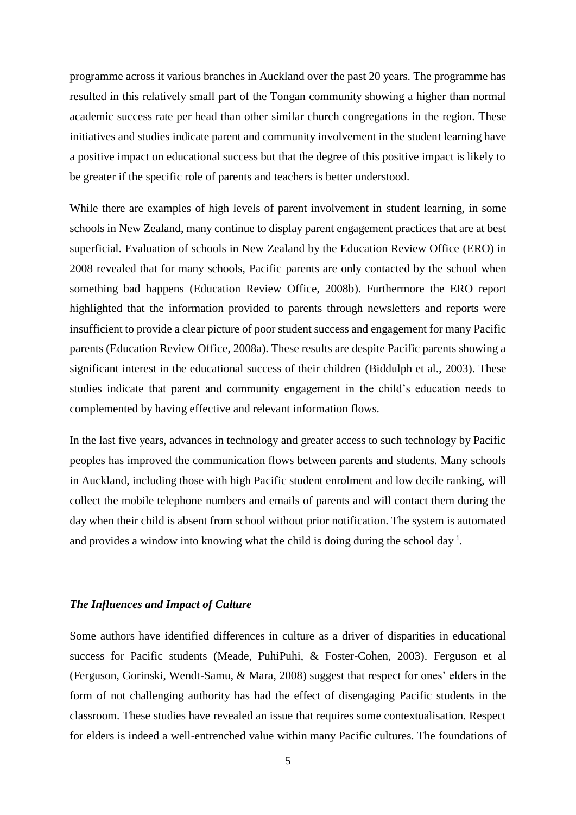programme across it various branches in Auckland over the past 20 years. The programme has resulted in this relatively small part of the Tongan community showing a higher than normal academic success rate per head than other similar church congregations in the region. These initiatives and studies indicate parent and community involvement in the student learning have a positive impact on educational success but that the degree of this positive impact is likely to be greater if the specific role of parents and teachers is better understood.

While there are examples of high levels of parent involvement in student learning, in some schools in New Zealand, many continue to display parent engagement practices that are at best superficial. Evaluation of schools in New Zealand by the Education Review Office (ERO) in 2008 revealed that for many schools, Pacific parents are only contacted by the school when something bad happens [\(Education Review Office, 2008b\)](#page-16-1). Furthermore the ERO report highlighted that the information provided to parents through newsletters and reports were insufficient to provide a clear picture of poor student success and engagement for many Pacific parents [\(Education Review Office, 2008a\)](#page-16-2). These results are despite Pacific parents showing a significant interest in the educational success of their children [\(Biddulph et al., 2003\)](#page-16-0). These studies indicate that parent and community engagement in the child's education needs to complemented by having effective and relevant information flows.

In the last five years, advances in technology and greater access to such technology by Pacific peoples has improved the communication flows between parents and students. Many schools in Auckland, including those with high Pacific student enrolment and low decile ranking, will collect the mobile telephone numbers and emails of parents and will contact them during the day when their child is absent from school without prior notification. The system is automated and provides a window into knowing what the child is doing during the school day  $\mathbf{i}$ .

## *The Influences and Impact of Culture*

Some authors have identified differences in culture as a driver of disparities in educational success for Pacific students [\(Meade, PuhiPuhi, & Foster-Cohen, 2003\)](#page-17-4). Ferguson et al [\(Ferguson, Gorinski, Wendt-Samu, & Mara, 2008\)](#page-16-3) suggest that respect for ones' elders in the form of not challenging authority has had the effect of disengaging Pacific students in the classroom. These studies have revealed an issue that requires some contextualisation. Respect for elders is indeed a well-entrenched value within many Pacific cultures. The foundations of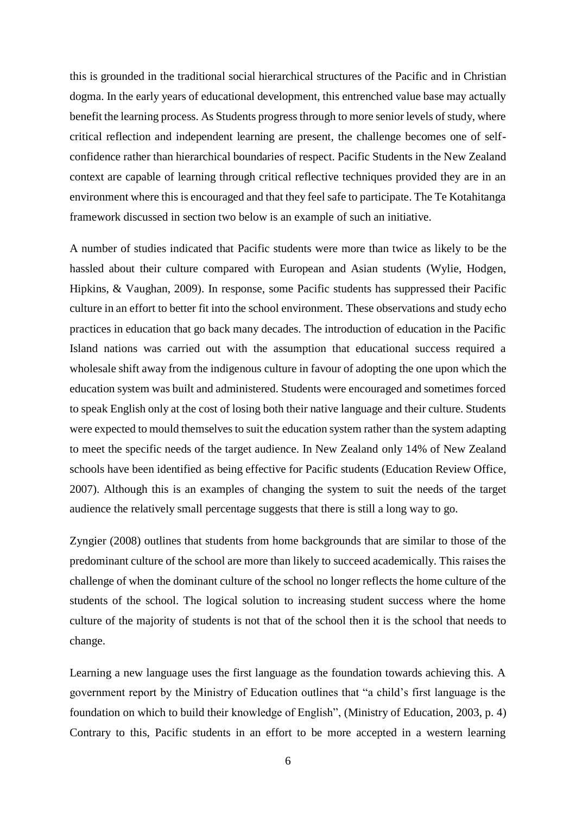this is grounded in the traditional social hierarchical structures of the Pacific and in Christian dogma. In the early years of educational development, this entrenched value base may actually benefit the learning process. As Students progress through to more senior levels of study, where critical reflection and independent learning are present, the challenge becomes one of selfconfidence rather than hierarchical boundaries of respect. Pacific Students in the New Zealand context are capable of learning through critical reflective techniques provided they are in an environment where this is encouraged and that they feel safe to participate. The Te Kotahitanga framework discussed in section two below is an example of such an initiative.

A number of studies indicated that Pacific students were more than twice as likely to be the hassled about their culture compared with European and Asian students [\(Wylie, Hodgen,](#page-17-5)  [Hipkins, & Vaughan, 2009\)](#page-17-5). In response, some Pacific students has suppressed their Pacific culture in an effort to better fit into the school environment. These observations and study echo practices in education that go back many decades. The introduction of education in the Pacific Island nations was carried out with the assumption that educational success required a wholesale shift away from the indigenous culture in favour of adopting the one upon which the education system was built and administered. Students were encouraged and sometimes forced to speak English only at the cost of losing both their native language and their culture. Students were expected to mould themselves to suit the education system rather than the system adapting to meet the specific needs of the target audience. In New Zealand only 14% of New Zealand schools have been identified as being effective for Pacific students [\(Education Review Office,](#page-16-4)  [2007\)](#page-16-4). Although this is an examples of changing the system to suit the needs of the target audience the relatively small percentage suggests that there is still a long way to go.

Zyngier [\(2008\)](#page-17-6) outlines that students from home backgrounds that are similar to those of the predominant culture of the school are more than likely to succeed academically. This raises the challenge of when the dominant culture of the school no longer reflects the home culture of the students of the school. The logical solution to increasing student success where the home culture of the majority of students is not that of the school then it is the school that needs to change.

Learning a new language uses the first language as the foundation towards achieving this. A government report by the Ministry of Education outlines that "a child's first language is the foundation on which to build their knowledge of English", [\(Ministry of Education, 2003, p. 4\)](#page-17-7) Contrary to this, Pacific students in an effort to be more accepted in a western learning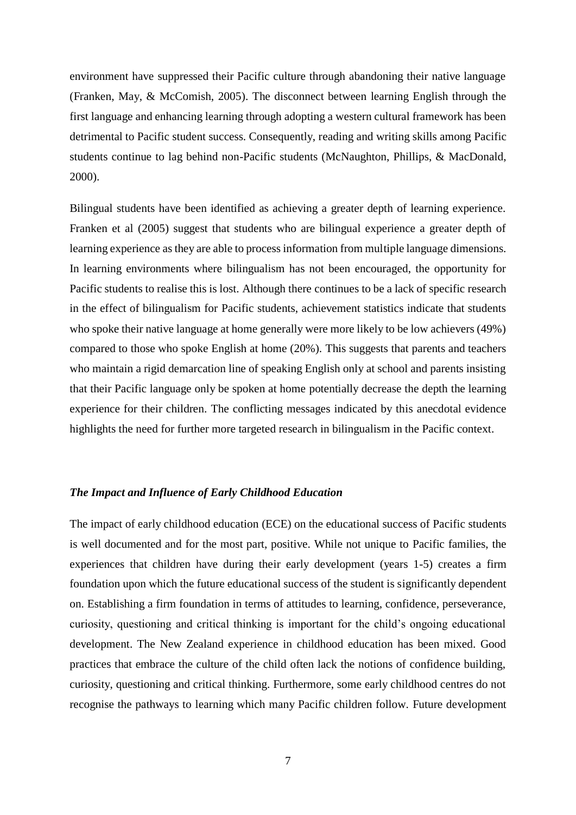environment have suppressed their Pacific culture through abandoning their native language [\(Franken, May, & McComish, 2005\)](#page-16-5). The disconnect between learning English through the first language and enhancing learning through adopting a western cultural framework has been detrimental to Pacific student success. Consequently, reading and writing skills among Pacific students continue to lag behind non-Pacific students [\(McNaughton, Phillips, & MacDonald,](#page-17-8)  [2000\)](#page-17-8).

Bilingual students have been identified as achieving a greater depth of learning experience. Franken et al [\(2005\)](#page-16-5) suggest that students who are bilingual experience a greater depth of learning experience as they are able to process information from multiple language dimensions. In learning environments where bilingualism has not been encouraged, the opportunity for Pacific students to realise this is lost. Although there continues to be a lack of specific research in the effect of bilingualism for Pacific students, achievement statistics indicate that students who spoke their native language at home generally were more likely to be low achievers (49%) compared to those who spoke English at home (20%). This suggests that parents and teachers who maintain a rigid demarcation line of speaking English only at school and parents insisting that their Pacific language only be spoken at home potentially decrease the depth the learning experience for their children. The conflicting messages indicated by this anecdotal evidence highlights the need for further more targeted research in bilingualism in the Pacific context.

# *The Impact and Influence of Early Childhood Education*

The impact of early childhood education (ECE) on the educational success of Pacific students is well documented and for the most part, positive. While not unique to Pacific families, the experiences that children have during their early development (years 1-5) creates a firm foundation upon which the future educational success of the student is significantly dependent on. Establishing a firm foundation in terms of attitudes to learning, confidence, perseverance, curiosity, questioning and critical thinking is important for the child's ongoing educational development. The New Zealand experience in childhood education has been mixed. Good practices that embrace the culture of the child often lack the notions of confidence building, curiosity, questioning and critical thinking. Furthermore, some early childhood centres do not recognise the pathways to learning which many Pacific children follow. Future development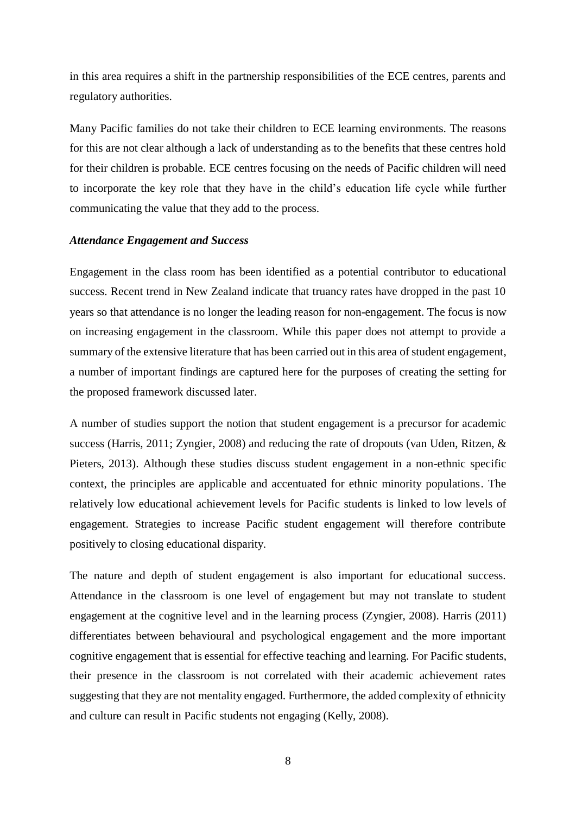in this area requires a shift in the partnership responsibilities of the ECE centres, parents and regulatory authorities.

Many Pacific families do not take their children to ECE learning environments. The reasons for this are not clear although a lack of understanding as to the benefits that these centres hold for their children is probable. ECE centres focusing on the needs of Pacific children will need to incorporate the key role that they have in the child's education life cycle while further communicating the value that they add to the process.

## *Attendance Engagement and Success*

Engagement in the class room has been identified as a potential contributor to educational success. Recent trend in New Zealand indicate that truancy rates have dropped in the past 10 years so that attendance is no longer the leading reason for non-engagement. The focus is now on increasing engagement in the classroom. While this paper does not attempt to provide a summary of the extensive literature that has been carried out in this area of student engagement, a number of important findings are captured here for the purposes of creating the setting for the proposed framework discussed later.

A number of studies support the notion that student engagement is a precursor for academic success [\(Harris, 2011;](#page-16-6) [Zyngier, 2008\)](#page-17-6) and reducing the rate of dropouts [\(van Uden, Ritzen, &](#page-17-9)  [Pieters, 2013\)](#page-17-9). Although these studies discuss student engagement in a non-ethnic specific context, the principles are applicable and accentuated for ethnic minority populations. The relatively low educational achievement levels for Pacific students is linked to low levels of engagement. Strategies to increase Pacific student engagement will therefore contribute positively to closing educational disparity.

The nature and depth of student engagement is also important for educational success. Attendance in the classroom is one level of engagement but may not translate to student engagement at the cognitive level and in the learning process [\(Zyngier, 2008\)](#page-17-6). Harris [\(2011\)](#page-16-6) differentiates between behavioural and psychological engagement and the more important cognitive engagement that is essential for effective teaching and learning. For Pacific students, their presence in the classroom is not correlated with their academic achievement rates suggesting that they are not mentality engaged. Furthermore, the added complexity of ethnicity and culture can result in Pacific students not engaging [\(Kelly, 2008\)](#page-17-10).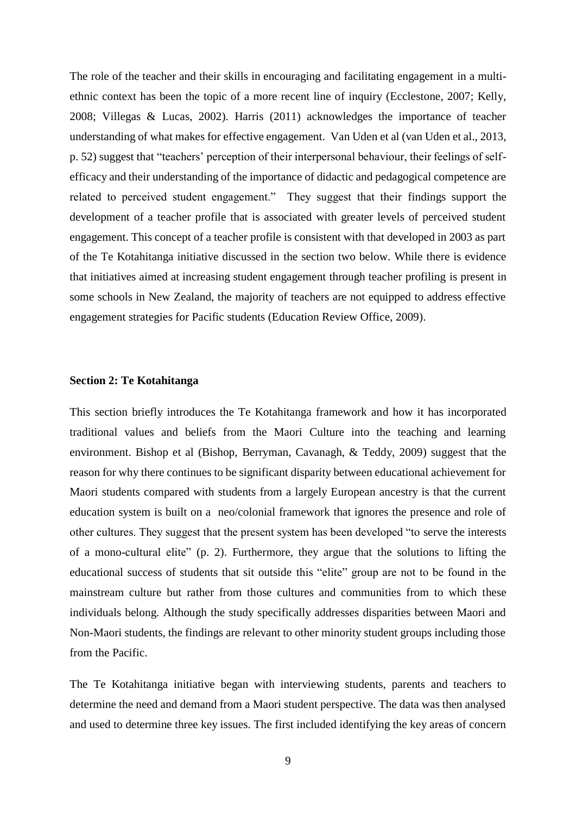The role of the teacher and their skills in encouraging and facilitating engagement in a multiethnic context has been the topic of a more recent line of inquiry [\(Ecclestone, 2007;](#page-16-7) [Kelly,](#page-17-10)  [2008;](#page-17-10) [Villegas & Lucas, 2002\)](#page-17-11). Harris [\(2011\)](#page-16-6) acknowledges the importance of teacher understanding of what makes for effective engagement. Van Uden et al [\(van Uden et al., 2013,](#page-17-9)  [p. 52\)](#page-17-9) suggest that "teachers' perception of their interpersonal behaviour, their feelings of selfefficacy and their understanding of the importance of didactic and pedagogical competence are related to perceived student engagement." They suggest that their findings support the development of a teacher profile that is associated with greater levels of perceived student engagement. This concept of a teacher profile is consistent with that developed in 2003 as part of the Te Kotahitanga initiative discussed in the section two below. While there is evidence that initiatives aimed at increasing student engagement through teacher profiling is present in some schools in New Zealand, the majority of teachers are not equipped to address effective engagement strategies for Pacific students [\(Education Review Office, 2009\)](#page-16-8).

## **Section 2: Te Kotahitanga**

This section briefly introduces the Te Kotahitanga framework and how it has incorporated traditional values and beliefs from the Maori Culture into the teaching and learning environment. Bishop et al [\(Bishop, Berryman, Cavanagh, & Teddy, 2009\)](#page-16-9) suggest that the reason for why there continues to be significant disparity between educational achievement for Maori students compared with students from a largely European ancestry is that the current education system is built on a neo/colonial framework that ignores the presence and role of other cultures. They suggest that the present system has been developed "to serve the interests of a mono-cultural elite" [\(p. 2\)](#page-16-9). Furthermore, they argue that the solutions to lifting the educational success of students that sit outside this "elite" group are not to be found in the mainstream culture but rather from those cultures and communities from to which these individuals belong. Although the study specifically addresses disparities between Maori and Non-Maori students, the findings are relevant to other minority student groups including those from the Pacific.

The Te Kotahitanga initiative began with interviewing students, parents and teachers to determine the need and demand from a Maori student perspective. The data was then analysed and used to determine three key issues. The first included identifying the key areas of concern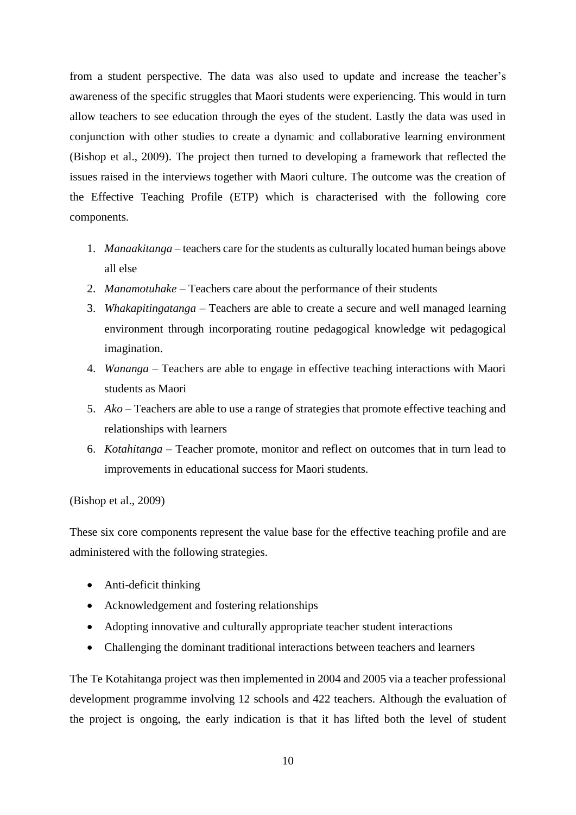from a student perspective. The data was also used to update and increase the teacher's awareness of the specific struggles that Maori students were experiencing. This would in turn allow teachers to see education through the eyes of the student. Lastly the data was used in conjunction with other studies to create a dynamic and collaborative learning environment [\(Bishop et al., 2009\)](#page-16-9). The project then turned to developing a framework that reflected the issues raised in the interviews together with Maori culture. The outcome was the creation of the Effective Teaching Profile (ETP) which is characterised with the following core components.

- 1. *Manaakitanga* teachers care for the students as culturally located human beings above all else
- 2. *Manamotuhake* Teachers care about the performance of their students
- 3. *Whakapitingatanga* Teachers are able to create a secure and well managed learning environment through incorporating routine pedagogical knowledge wit pedagogical imagination.
- 4. *Wananga* Teachers are able to engage in effective teaching interactions with Maori students as Maori
- 5. *Ako* Teachers are able to use a range of strategies that promote effective teaching and relationships with learners
- 6. *Kotahitanga* Teacher promote, monitor and reflect on outcomes that in turn lead to improvements in educational success for Maori students.

[\(Bishop et al., 2009\)](#page-16-9)

These six core components represent the value base for the effective teaching profile and are administered with the following strategies.

- Anti-deficit thinking
- Acknowledgement and fostering relationships
- Adopting innovative and culturally appropriate teacher student interactions
- Challenging the dominant traditional interactions between teachers and learners

The Te Kotahitanga project was then implemented in 2004 and 2005 via a teacher professional development programme involving 12 schools and 422 teachers. Although the evaluation of the project is ongoing, the early indication is that it has lifted both the level of student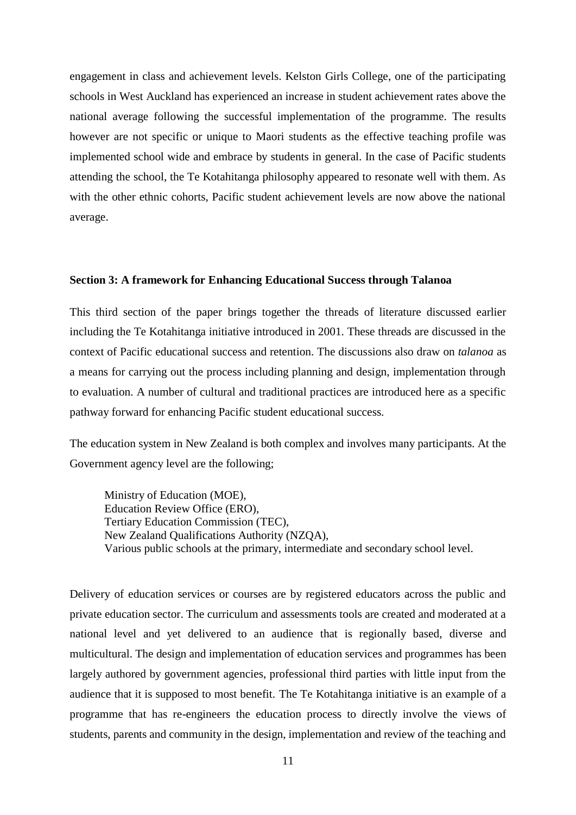engagement in class and achievement levels. Kelston Girls College, one of the participating schools in West Auckland has experienced an increase in student achievement rates above the national average following the successful implementation of the programme. The results however are not specific or unique to Maori students as the effective teaching profile was implemented school wide and embrace by students in general. In the case of Pacific students attending the school, the Te Kotahitanga philosophy appeared to resonate well with them. As with the other ethnic cohorts. Pacific student achievement levels are now above the national average.

# **Section 3: A framework for Enhancing Educational Success through Talanoa**

This third section of the paper brings together the threads of literature discussed earlier including the Te Kotahitanga initiative introduced in 2001. These threads are discussed in the context of Pacific educational success and retention. The discussions also draw on *talanoa* as a means for carrying out the process including planning and design, implementation through to evaluation. A number of cultural and traditional practices are introduced here as a specific pathway forward for enhancing Pacific student educational success.

The education system in New Zealand is both complex and involves many participants. At the Government agency level are the following;

Ministry of Education (MOE), Education Review Office (ERO), Tertiary Education Commission (TEC), New Zealand Qualifications Authority (NZQA), Various public schools at the primary, intermediate and secondary school level.

Delivery of education services or courses are by registered educators across the public and private education sector. The curriculum and assessments tools are created and moderated at a national level and yet delivered to an audience that is regionally based, diverse and multicultural. The design and implementation of education services and programmes has been largely authored by government agencies, professional third parties with little input from the audience that it is supposed to most benefit. The Te Kotahitanga initiative is an example of a programme that has re-engineers the education process to directly involve the views of students, parents and community in the design, implementation and review of the teaching and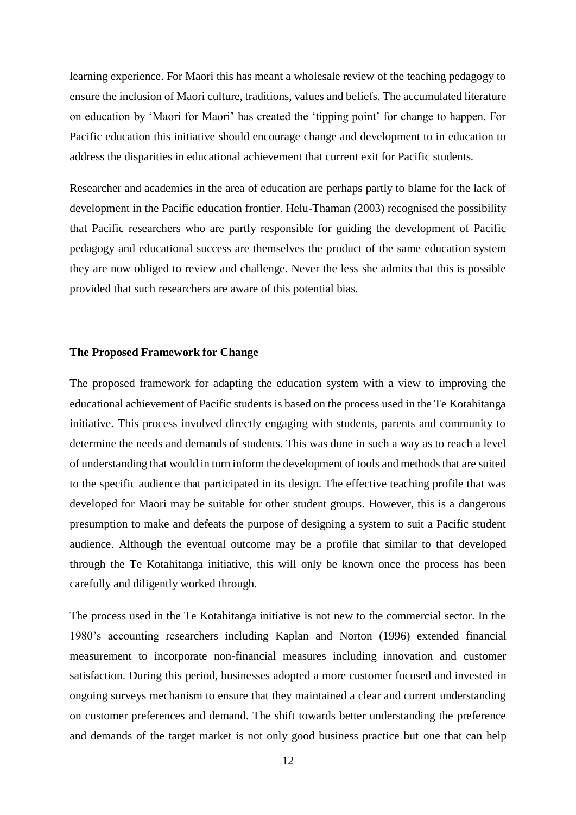learning experience. For Maori this has meant a wholesale review of the teaching pedagogy to ensure the inclusion of Maori culture, traditions, values and beliefs. The accumulated literature on education by 'Maori for Maori' has created the 'tipping point' for change to happen. For Pacific education this initiative should encourage change and development to in education to address the disparities in educational achievement that current exit for Pacific students.

Researcher and academics in the area of education are perhaps partly to blame for the lack of development in the Pacific education frontier. Helu-Thaman [\(2003\)](#page-16-10) recognised the possibility that Pacific researchers who are partly responsible for guiding the development of Pacific pedagogy and educational success are themselves the product of the same education system they are now obliged to review and challenge. Never the less she admits that this is possible provided that such researchers are aware of this potential bias.

#### **The Proposed Framework for Change**

The proposed framework for adapting the education system with a view to improving the educational achievement of Pacific students is based on the process used in the Te Kotahitanga initiative. This process involved directly engaging with students, parents and community to determine the needs and demands of students. This was done in such a way as to reach a level of understanding that would in turn inform the development of tools and methods that are suited to the specific audience that participated in its design. The effective teaching profile that was developed for Maori may be suitable for other student groups. However, this is a dangerous presumption to make and defeats the purpose of designing a system to suit a Pacific student audience. Although the eventual outcome may be a profile that similar to that developed through the Te Kotahitanga initiative, this will only be known once the process has been carefully and diligently worked through.

The process used in the Te Kotahitanga initiative is not new to the commercial sector. In the 1980's accounting researchers including Kaplan and Norton [\(1996\)](#page-17-12) extended financial measurement to incorporate non-financial measures including innovation and customer satisfaction. During this period, businesses adopted a more customer focused and invested in ongoing surveys mechanism to ensure that they maintained a clear and current understanding on customer preferences and demand. The shift towards better understanding the preference and demands of the target market is not only good business practice but one that can help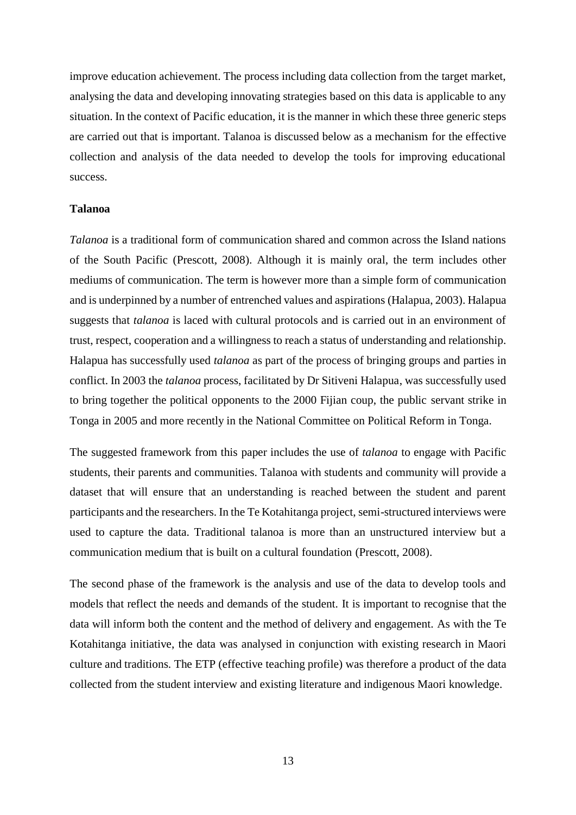improve education achievement. The process including data collection from the target market, analysing the data and developing innovating strategies based on this data is applicable to any situation. In the context of Pacific education, it is the manner in which these three generic steps are carried out that is important. Talanoa is discussed below as a mechanism for the effective collection and analysis of the data needed to develop the tools for improving educational success.

#### **Talanoa**

*Talanoa* is a traditional form of communication shared and common across the Island nations of the South Pacific [\(Prescott, 2008\)](#page-17-13). Although it is mainly oral, the term includes other mediums of communication. The term is however more than a simple form of communication and is underpinned by a number of entrenched values and aspirations [\(Halapua, 2003\)](#page-16-11). Halapua suggests that *talanoa* is laced with cultural protocols and is carried out in an environment of trust, respect, cooperation and a willingness to reach a status of understanding and relationship. Halapua has successfully used *talanoa* as part of the process of bringing groups and parties in conflict. In 2003 the *talanoa* process, facilitated by Dr Sitiveni Halapua, was successfully used to bring together the political opponents to the 2000 Fijian coup, the public servant strike in Tonga in 2005 and more recently in the National Committee on Political Reform in Tonga.

The suggested framework from this paper includes the use of *talanoa* to engage with Pacific students, their parents and communities. Talanoa with students and community will provide a dataset that will ensure that an understanding is reached between the student and parent participants and the researchers. In the Te Kotahitanga project, semi-structured interviews were used to capture the data. Traditional talanoa is more than an unstructured interview but a communication medium that is built on a cultural foundation [\(Prescott, 2008\)](#page-17-13).

The second phase of the framework is the analysis and use of the data to develop tools and models that reflect the needs and demands of the student. It is important to recognise that the data will inform both the content and the method of delivery and engagement. As with the Te Kotahitanga initiative, the data was analysed in conjunction with existing research in Maori culture and traditions. The ETP (effective teaching profile) was therefore a product of the data collected from the student interview and existing literature and indigenous Maori knowledge.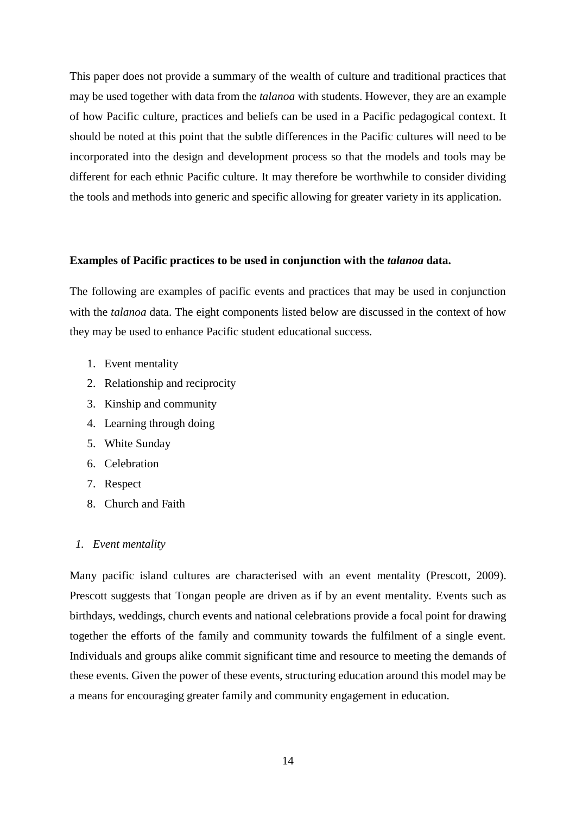This paper does not provide a summary of the wealth of culture and traditional practices that may be used together with data from the *talanoa* with students. However, they are an example of how Pacific culture, practices and beliefs can be used in a Pacific pedagogical context. It should be noted at this point that the subtle differences in the Pacific cultures will need to be incorporated into the design and development process so that the models and tools may be different for each ethnic Pacific culture. It may therefore be worthwhile to consider dividing the tools and methods into generic and specific allowing for greater variety in its application.

#### **Examples of Pacific practices to be used in conjunction with the** *talanoa* **data.**

The following are examples of pacific events and practices that may be used in conjunction with the *talanoa* data. The eight components listed below are discussed in the context of how they may be used to enhance Pacific student educational success.

- 1. Event mentality
- 2. Relationship and reciprocity
- 3. Kinship and community
- 4. Learning through doing
- 5. White Sunday
- 6. Celebration
- 7. Respect
- 8. Church and Faith

## *1. Event mentality*

Many pacific island cultures are characterised with an event mentality [\(Prescott, 2009\)](#page-17-14). Prescott suggests that Tongan people are driven as if by an event mentality. Events such as birthdays, weddings, church events and national celebrations provide a focal point for drawing together the efforts of the family and community towards the fulfilment of a single event. Individuals and groups alike commit significant time and resource to meeting the demands of these events. Given the power of these events, structuring education around this model may be a means for encouraging greater family and community engagement in education.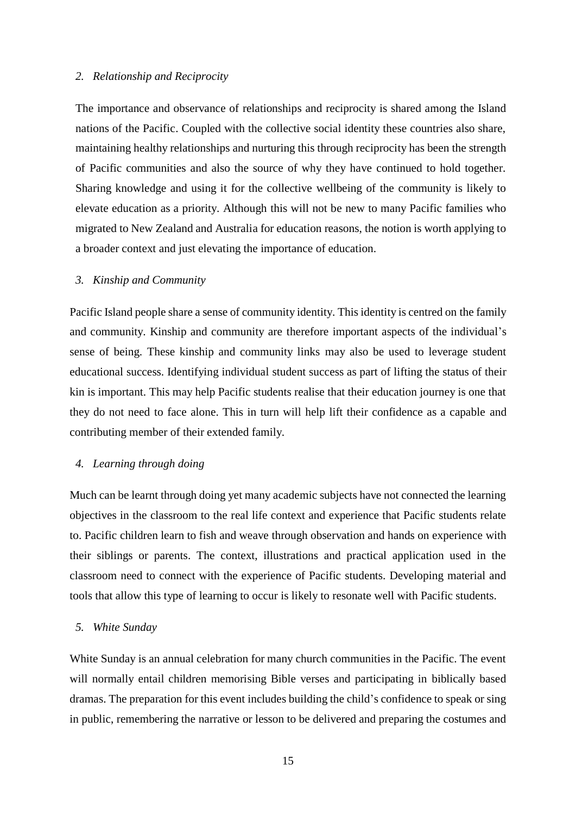## *2. Relationship and Reciprocity*

The importance and observance of relationships and reciprocity is shared among the Island nations of the Pacific. Coupled with the collective social identity these countries also share, maintaining healthy relationships and nurturing this through reciprocity has been the strength of Pacific communities and also the source of why they have continued to hold together. Sharing knowledge and using it for the collective wellbeing of the community is likely to elevate education as a priority. Although this will not be new to many Pacific families who migrated to New Zealand and Australia for education reasons, the notion is worth applying to a broader context and just elevating the importance of education.

# *3. Kinship and Community*

Pacific Island people share a sense of community identity. This identity is centred on the family and community. Kinship and community are therefore important aspects of the individual's sense of being. These kinship and community links may also be used to leverage student educational success. Identifying individual student success as part of lifting the status of their kin is important. This may help Pacific students realise that their education journey is one that they do not need to face alone. This in turn will help lift their confidence as a capable and contributing member of their extended family.

# *4. Learning through doing*

Much can be learnt through doing yet many academic subjects have not connected the learning objectives in the classroom to the real life context and experience that Pacific students relate to. Pacific children learn to fish and weave through observation and hands on experience with their siblings or parents. The context, illustrations and practical application used in the classroom need to connect with the experience of Pacific students. Developing material and tools that allow this type of learning to occur is likely to resonate well with Pacific students.

### *5. White Sunday*

White Sunday is an annual celebration for many church communities in the Pacific. The event will normally entail children memorising Bible verses and participating in biblically based dramas. The preparation for this event includes building the child's confidence to speak or sing in public, remembering the narrative or lesson to be delivered and preparing the costumes and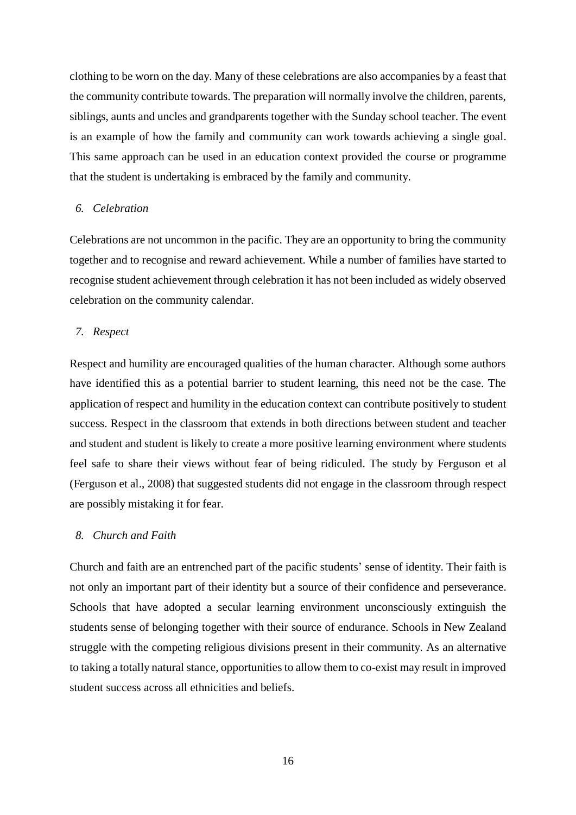clothing to be worn on the day. Many of these celebrations are also accompanies by a feast that the community contribute towards. The preparation will normally involve the children, parents, siblings, aunts and uncles and grandparents together with the Sunday school teacher. The event is an example of how the family and community can work towards achieving a single goal. This same approach can be used in an education context provided the course or programme that the student is undertaking is embraced by the family and community.

# *6. Celebration*

Celebrations are not uncommon in the pacific. They are an opportunity to bring the community together and to recognise and reward achievement. While a number of families have started to recognise student achievement through celebration it has not been included as widely observed celebration on the community calendar.

#### *7. Respect*

Respect and humility are encouraged qualities of the human character. Although some authors have identified this as a potential barrier to student learning, this need not be the case. The application of respect and humility in the education context can contribute positively to student success. Respect in the classroom that extends in both directions between student and teacher and student and student is likely to create a more positive learning environment where students feel safe to share their views without fear of being ridiculed. The study by Ferguson et al [\(Ferguson et al., 2008\)](#page-16-3) that suggested students did not engage in the classroom through respect are possibly mistaking it for fear.

#### *8. Church and Faith*

Church and faith are an entrenched part of the pacific students' sense of identity. Their faith is not only an important part of their identity but a source of their confidence and perseverance. Schools that have adopted a secular learning environment unconsciously extinguish the students sense of belonging together with their source of endurance. Schools in New Zealand struggle with the competing religious divisions present in their community. As an alternative to taking a totally natural stance, opportunities to allow them to co-exist may result in improved student success across all ethnicities and beliefs.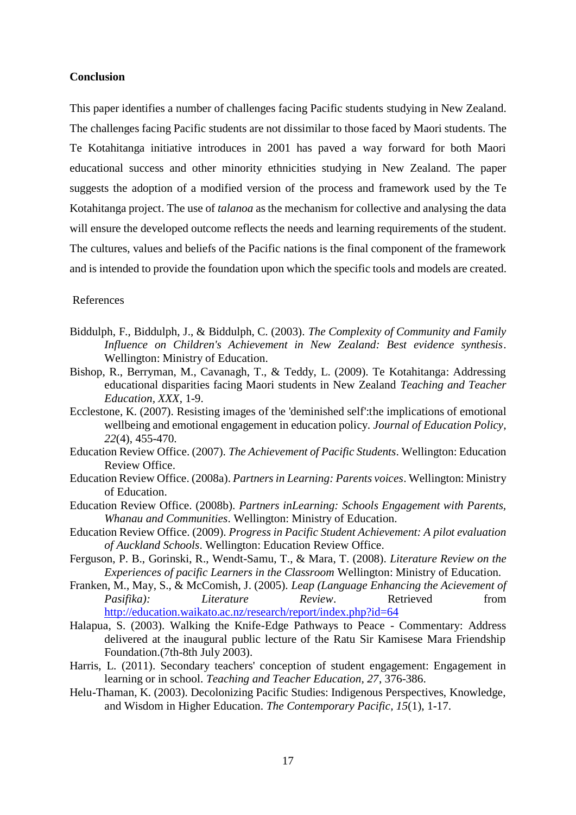## **Conclusion**

This paper identifies a number of challenges facing Pacific students studying in New Zealand. The challenges facing Pacific students are not dissimilar to those faced by Maori students. The Te Kotahitanga initiative introduces in 2001 has paved a way forward for both Maori educational success and other minority ethnicities studying in New Zealand. The paper suggests the adoption of a modified version of the process and framework used by the Te Kotahitanga project. The use of *talanoa* as the mechanism for collective and analysing the data will ensure the developed outcome reflects the needs and learning requirements of the student. The cultures, values and beliefs of the Pacific nations is the final component of the framework and is intended to provide the foundation upon which the specific tools and models are created.

#### References

- <span id="page-16-0"></span>Biddulph, F., Biddulph, J., & Biddulph, C. (2003). *The Complexity of Community and Family Influence on Children's Achievement in New Zealand: Best evidence synthesis*. Wellington: Ministry of Education.
- <span id="page-16-9"></span>Bishop, R., Berryman, M., Cavanagh, T., & Teddy, L. (2009). Te Kotahitanga: Addressing educational disparities facing Maori students in New Zealand *Teaching and Teacher Education, XXX*, 1-9.
- <span id="page-16-7"></span>Ecclestone, K. (2007). Resisting images of the 'deminished self':the implications of emotional wellbeing and emotional engagement in education policy. *Journal of Education Policy, 22*(4), 455-470.
- <span id="page-16-4"></span>Education Review Office. (2007). *The Achievement of Pacific Students*. Wellington: Education Review Office.
- <span id="page-16-2"></span>Education Review Office. (2008a). *Partners in Learning: Parents voices*. Wellington: Ministry of Education.
- <span id="page-16-1"></span>Education Review Office. (2008b). *Partners inLearning: Schools Engagement with Parents, Whanau and Communities*. Wellington: Ministry of Education.
- <span id="page-16-8"></span>Education Review Office. (2009). *Progress in Pacific Student Achievement: A pilot evaluation of Auckland Schools*. Wellington: Education Review Office.
- <span id="page-16-3"></span>Ferguson, P. B., Gorinski, R., Wendt-Samu, T., & Mara, T. (2008). *Literature Review on the Experiences of pacific Learners in the Classroom* Wellington: Ministry of Education.
- <span id="page-16-5"></span>Franken, M., May, S., & McComish, J. (2005). *Leap (Language Enhancing the Acievement of Pasifika*): *Literature Review*. Retrieved from <http://education.waikato.ac.nz/research/report/index.php?id=64>
- <span id="page-16-11"></span>Halapua, S. (2003). Walking the Knife-Edge Pathways to Peace - Commentary: Address delivered at the inaugural public lecture of the Ratu Sir Kamisese Mara Friendship Foundation.(7th-8th July 2003).
- <span id="page-16-6"></span>Harris, L. (2011). Secondary teachers' conception of student engagement: Engagement in learning or in school. *Teaching and Teacher Education, 27*, 376-386.
- <span id="page-16-10"></span>Helu-Thaman, K. (2003). Decolonizing Pacific Studies: Indigenous Perspectives, Knowledge, and Wisdom in Higher Education. *The Contemporary Pacific, 15*(1), 1-17.